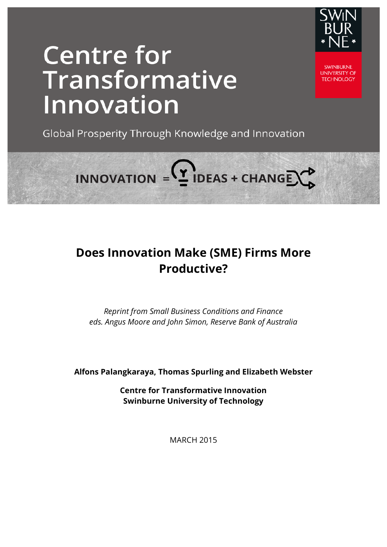

# **Centre for** Transformative Innovation

**SWINBLIRNE UNIVERSITY OF TECHNOLOGY** 

Global Prosperity Through Knowledge and Innovation

**Does Innovation Make (SME) Firms More Productive?**

INNOVATION =  $2$  IDEAS + CHANGE  $\rightarrow$ 

*Reprint from Small Business Conditions and Finance eds. Angus Moore and John Simon, Reserve Bank of Australia* 

**Alfons Palangkaraya, Thomas Spurling and Elizabeth Webster**

**Centre for Transformative Innovation Swinburne University of Technology**

MARCH 2015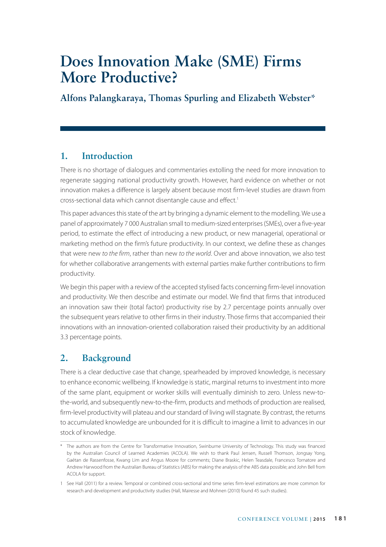## **Does Innovation Make (SME) Firms More Productive?**

**Alfons Palangkaraya, Thomas Spurling and Elizabeth Webster\***

## **1. Introduction**

There is no shortage of dialogues and commentaries extolling the need for more innovation to regenerate sagging national productivity growth. However, hard evidence on whether or not innovation makes a difference is largely absent because most firm-level studies are drawn from cross-sectional data which cannot disentangle cause and effect.<sup>1</sup>

This paper advances this state of the art by bringing a dynamic element to the modelling. We use a panel of approximately 7 000 Australian small to medium-sized enterprises (SMEs), over a five-year period, to estimate the effect of introducing a new product, or new managerial, operational or marketing method on the firm's future productivity. In our context, we define these as changes that were new *to the firm*, rather than new *to the world*. Over and above innovation, we also test for whether collaborative arrangements with external parties make further contributions to firm productivity.

We begin this paper with a review of the accepted stylised facts concerning firm-level innovation and productivity. We then describe and estimate our model. We find that firms that introduced an innovation saw their (total factor) productivity rise by 2.7 percentage points annually over the subsequent years relative to other firms in their industry. Those firms that accompanied their innovations with an innovation-oriented collaboration raised their productivity by an additional 3.3 percentage points.

## **2. Background**

There is a clear deductive case that change, spearheaded by improved knowledge, is necessary to enhance economic wellbeing. If knowledge is static, marginal returns to investment into more of the same plant, equipment or worker skills will eventually diminish to zero. Unless new-tothe-world, and subsequently new-to-the-firm, products and methods of production are realised, firm-level productivity will plateau and our standard of living will stagnate. By contrast, the returns to accumulated knowledge are unbounded for it is difficult to imagine a limit to advances in our stock of knowledge.

<sup>\*</sup> The authors are from the Centre for Transformative Innovation, Swinburne University of Technology. This study was financed by the Australian Council of Learned Academies (ACOLA). We wish to thank Paul Jensen, Russell Thomson, Jongsay Yong, Gaétan de Rassenfosse, Kwang Lim and Angus Moore for comments; Diane Braskic, Helen Teasdale, Francesco Tornatore and Andrew Harwood from the Australian Bureau of Statistics (ABS) for making the analysis of the ABS data possible; and John Bell from ACOLA for support.

<sup>1</sup> See Hall (2011) for a review. Temporal or combined cross-sectional and time series firm-level estimations are more common for research and development and productivity studies (Hall, Mairesse and Mohnen (2010) found 45 such studies).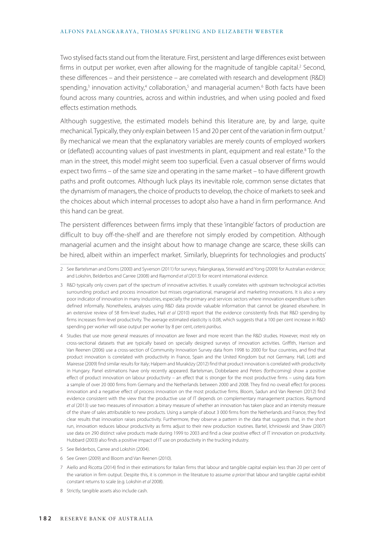#### ALFONS PALANGKARAYA, THOMAS SPURLING AND ELIZABETH WEBSTER

Two stylised facts stand out from the literature. First, persistent and large differences exist between firms in output per worker, even after allowing for the magnitude of tangible capital.<sup>2</sup> Second, these differences – and their persistence – are correlated with research and development (R&D) spending,<sup>3</sup> innovation activity,<sup>4</sup> collaboration,<sup>5</sup> and managerial acumen.<sup>6</sup> Both facts have been found across many countries, across and within industries, and when using pooled and fixed effects estimation methods.

Although suggestive, the estimated models behind this literature are, by and large, quite mechanical. Typically, they only explain between 15 and 20 per cent of the variation in firm output.<sup>7</sup> By mechanical we mean that the explanatory variables are merely counts of employed workers or (deflated) accounting values of past investments in plant, equipment and real estate.<sup>8</sup> To the man in the street, this model might seem too superficial. Even a casual observer of firms would expect two firms – of the same size and operating in the same market – to have different growth paths and profit outcomes. Although luck plays its inevitable role, common sense dictates that the dynamism of managers, the choice of products to develop, the choice of markets to seek and the choices about which internal processes to adopt also have a hand in firm performance. And this hand can be great.

The persistent differences between firms imply that these 'intangible' factors of production are difficult to buy off-the-shelf and are therefore not simply eroded by competition. Although managerial acumen and the insight about how to manage change are scarce, these skills can be hired, albeit within an imperfect market. Similarly, blueprints for technologies and products'

- 5 See Belderbos, Carree and Lokshin (2004).
- 6 See Green (2009) and Bloom and Van Reenen (2010).
- 7 Aiello and Ricotta (2014) find in their estimations for Italian firms that labour and tangible capital explain less than 20 per cent of the variation in firm output. Despite this, it is common in the literature to assume *a priori* that labour and tangible capital exhibit constant returns to scale (e.g. Lokshin *et al* 2008).
- 8 Strictly, tangible assets also include cash.

<sup>2</sup> See Bartelsman and Doms (2000) and Syverson (2011) for surveys; Palangkaraya, Stierwald and Yong (2009) for Australian evidence; and Lokshin, Belderbos and Carree (2008) and Raymond *et al* (2013) for recent international evidence.

<sup>3</sup> R&D typically only covers part of the spectrum of innovative activities. It usually correlates with upstream technological activities surrounding product and process innovation but misses organisational, managerial and marketing innovations. It is also a very poor indicator of innovation in many industries, especially the primary and services sectors where innovation expenditure is often defined informally. Nonetheless, analyses using R&D data provide valuable information that cannot be gleaned elsewhere. In an extensive review of 58 firm-level studies, Hall *et al* (2010) report that the evidence consistently finds that R&D spending by firms increases firm-level productivity. The average estimated elasticity is 0.08, which suggests that a 100 per cent increase in R&D spending per worker will raise output per worker by 8 per cent, *ceteris paribus.*

<sup>4</sup> Studies that use more general measures of innovation are fewer and more recent than the R&D studies. However, most rely on cross-sectional datasets that are typically based on specially designed surveys of innovation activities. Griffith, Harrison and Van Reenen (2006) use a cross-section of Community Innovation Survey data from 1998 to 2000 for four countries, and find that product innovation is correlated with productivity in France, Spain and the United Kingdom but not Germany. Hall, Lotti and Mairesse (2009) find similar results for Italy; Halpern and Muraközy (2012) find that product innovation is correlated with productivity in Hungary. Panel estimations have only recently appeared. Bartelsman, Dobbelaere and Peters (forthcoming) show a positive effect of product innovation on labour productivity – an effect that is stronger for the most productive firms – using data from a sample of over 20 000 firms from Germany and the Netherlands between 2000 and 2008. They find no overall effect for process innovation and a negative effect of process innovation on the most productive firms. Bloom, Sadun and Van Reenen (2012) find evidence consistent with the view that the productive use of IT depends on complementary management practices. Raymond *et al* (2013) use two measures of innovation: a binary measure of whether an innovation has taken place and an intensity measure of the share of sales attributable to new products. Using a sample of about 3 000 firms from the Netherlands and France, they find clear results that innovation raises productivity. Furthermore, they observe a pattern in the data that suggests that, in the short run, innovation reduces labour productivity as firms adjust to their new production routines. Bartel, Ichniowski and Shaw (2007) use data on 290 distinct valve products made during 1999 to 2003 and find a clear positive effect of IT innovation on productivity. Hubbard (2003) also finds a positive impact of IT use on productivity in the trucking industry.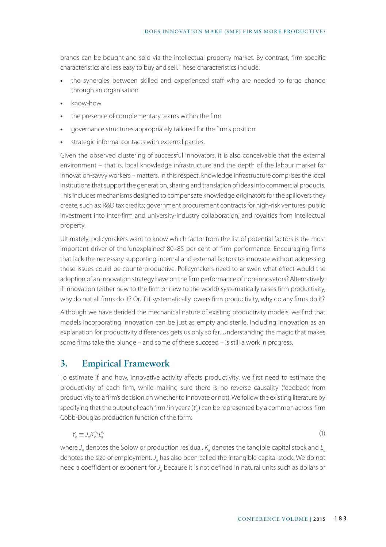brands can be bought and sold via the intellectual property market. By contrast, firm-specific characteristics are less easy to buy and sell. These characteristics include:

- **•** the synergies between skilled and experienced staff who are needed to forge change through an organisation
- **•** know-how
- **•** the presence of complementary teams within the firm
- **•** governance structures appropriately tailored for the firm's position
- **•** strategic informal contacts with external parties.

Given the observed clustering of successful innovators, it is also conceivable that the external environment – that is, local knowledge infrastructure and the depth of the labour market for innovation-savvy workers – matters. In this respect, knowledge infrastructure comprises the local institutions that support the generation, sharing and translation of ideas into commercial products. This includes mechanisms designed to compensate knowledge originators for the spillovers they create, such as: R&D tax credits; government procurement contracts for high-risk ventures; public investment into inter-firm and university-industry collaboration; and royalties from intellectual property.

Ultimately, policymakers want to know which factor from the list of potential factors is the most important driver of the 'unexplained' 80–85 per cent of firm performance. Encouraging firms that lack the necessary supporting internal and external factors to innovate without addressing these issues could be counterproductive. Policymakers need to answer: what effect would the adoption of an innovation strategy have on the firm performance of non-innovators? Alternatively: if innovation (either new to the firm or new to the world) systematically raises firm productivity, why do not all firms do it? Or, if it systematically lowers firm productivity, why do any firms do it?

Although we have derided the mechanical nature of existing productivity models, we find that models incorporating innovation can be just as empty and sterile. Including innovation as an explanation for productivity differences gets us only so far. Understanding the magic that makes some firms take the plunge – and some of these succeed – is still a work in progress.

## **3. Empirical Framework**

To estimate if, and how, innovative activity affects productivity, we first need to estimate the productivity of each firm, while making sure there is no reverse causality (feedback from productivity to a firm's decision on whether to innovate or not). We follow the existing literature by specifying that the output of each firm *i* in year *t* (*Y<sub>ii</sub>*) can be represented by a common across-firm Cobb-Douglas production function of the form:

$$
Y_{it} \equiv J_{it} K_{it}^{\alpha_k} L_{it}^{\alpha_l} \tag{1}
$$

where  $J_i$  denotes the Solow or production residual,  $K_i$  denotes the tangible capital stock and  $L_i$ denotes the size of employment. *J<sub>it</sub>* has also been called the intangible capital stock. We do not need a coefficient or exponent for *J<sub>ir</sub>* because it is not defined in natural units such as dollars or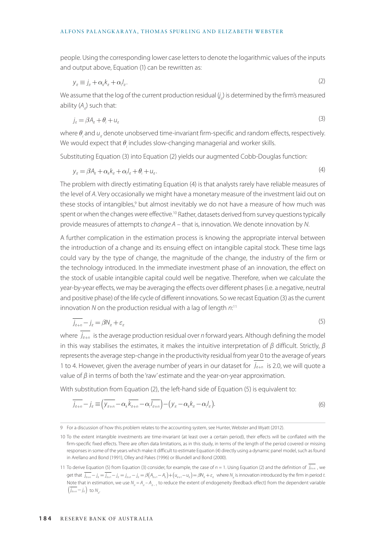#### ALFONS PALANGKARAYA, THOMAS SPURLING AND ELIZABETH WEBSTER

people. Using the corresponding lower case letters to denote the logarithmic values of the inputs and output above, Equation (1) can be rewritten as:

$$
y_{it} \equiv j_{it} + \alpha_k k_{it} + \alpha_l l_{it}.
$$

We assume that the log of the current production residual  $\mathit{f}_{i t}$ ) is determined by the firm's measured ability (A<sub>ii</sub>) such that:

$$
j_k = \beta A_k + \theta_i + u_k \tag{3}
$$

where  $\theta_i$  and  $u_i$  denote unobserved time-invariant firm-specific and random effects, respectively. We would expect that  $\theta_{_j}$  includes slow-changing managerial and worker skills.

Substituting Equation (3) into Equation (2) yields our augmented Cobb-Douglas function:

$$
y_{it} = \beta A_{it} + \alpha_k k_{it} + \alpha_l I_{it} + \theta_i + u_i.
$$
\n<sup>(4)</sup>

The problem with directly estimating Equation (4) is that analysts rarely have reliable measures of the level of *A*. Very occasionally we might have a monetary measure of the investment laid out on these stocks of intangibles,<sup>9</sup> but almost inevitably we do not have a measure of how much was spent or when the changes were effective.<sup>10</sup> Rather, datasets derived from survey questions typically provide measures of attempts to *change A* – that is, innovation. We denote innovation by *N*.

A further complication in the estimation process is knowing the appropriate interval between the introduction of a change and its ensuing effect on intangible capital stock. These time lags could vary by the type of change, the magnitude of the change, the industry of the firm or the technology introduced. In the immediate investment phase of an innovation, the effect on the stock of usable intangible capital could well be negative. Therefore, when we calculate the year-by-year effects, we may be averaging the effects over different phases (i.e. a negative, neutral and positive phase) of the life cycle of different innovations. So we recast Equation (3) as the current innovation *N* on the production residual with a lag of length *n*: 11

$$
\overline{j_{n+n}} - j_n = \beta N_n + \varepsilon_n \tag{5}
$$

where  $j_{n+n}$  is the average production residual over *n* forward years. Although defining the model in this way stabilises the estimates, it makes the intuitive interpretation of  $\beta$  difficult. Strictly,  $\beta$ represents the average step-change in the productivity residual from year 0 to the average of years 1 to 4. However, given the average number of years in our dataset for  $j_{n+n}$  is 2.0, we will quote a value of  $β$  in terms of both the 'raw' estimate and the year-on-year approximation.

With substitution from Equation (2), the left-hand side of Equation (5) is equivalent to:

$$
\overline{j_{k+n}} - j_k \equiv \left(\overline{y_{k+n}} - \alpha_k \overline{k_{k+n}} - \alpha_j \overline{l_{k+n}}\right) - \left(y_k - \alpha_k k_k - \alpha_j l_k\right). \tag{6}
$$

<sup>9</sup> For a discussion of how this problem relates to the accounting system, see Hunter, Webster and Wyatt (2012).

<sup>10</sup> To the extent intangible investments are time-invariant (at least over a certain period), their effects will be conflated with the firm-specific fixed effects. There are often data limitations, as in this study, in terms of the length of the period covered or missing responses in some of the years which make it difficult to estimate Equation (4) directly using a dynamic panel model, such as found in Arellano and Bond (1991), Olley and Pakes (1996) or Blundell and Bond (2000).

<sup>11</sup> To derive Equation (5) from Equation (3) consider, for example, the case of  $n = 1$ . Using Equation (2) and the definition of  $j_{n+n}$ , we get that  $j_{n+n}-j_n=j_{n+1}-j_n=j_{n+1}-k=\beta\big(A_{n+1}-A_n\big)+\big(u_{n+1}-u_n\big)=\beta N_n+\varepsilon_n$  where  $N_n$  is innovation introduced by the firm in period *t*. Note that in estimation, we use  $N_i = A_i - A_{i-1}$  to reduce the extent of endogeneity (feedback effect) from the dependent variable j  $\left(\overline{j_{k+n}} - j_k\right)$  to  $N_{i}$ .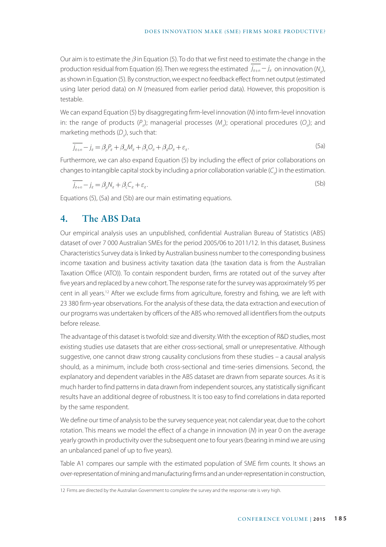Our aim is to estimate the *β* in Equation (5). To do that we first need to estimate the change in the production residual from Equation (6). Then we regress the estimated  $j_{n+n}-j_n$  on innovation ( $N_{n}$ ), as shown in Equation (5). By construction, we expect no feedback effect from net output (estimated using later period data) on *N* (measured from earlier period data). However, this proposition is testable.

We can expand Equation (5) by disaggregating firm-level innovation (*N*) into firm-level innovation in: the range of products (P<sub>ii</sub>); managerial processes (M<sub>ii</sub>); operational procedures (O<sub>ii</sub>); and marketing methods (D<sub>ix</sub>), such that:

$$
\overline{j_{n+n}} - j_n = \beta_p P_n + \beta_m M_n + \beta_o O_n + \beta_d D_n + \varepsilon_n.
$$
\n(5a)

Furthermore, we can also expand Equation (5) by including the effect of prior collaborations on changes to intangible capital stock by including a prior collaboration variable (C<sub>i</sub>) in the estimation.

$$
\overline{j_{k+n}} - j_k = \beta_p N_k + \beta_c C_k + \varepsilon_k. \tag{5b}
$$

Equations (5), (5a) and (5b) are our main estimating equations.

## **4. The ABS Data**

Our empirical analysis uses an unpublished, confidential Australian Bureau of Statistics (ABS) dataset of over 7 000 Australian SMEs for the period 2005/06 to 2011/12. In this dataset, Business Characteristics Survey data is linked by Australian business number to the corresponding business income taxation and business activity taxation data (the taxation data is from the Australian Taxation Office (ATO)). To contain respondent burden, firms are rotated out of the survey after five years and replaced by a new cohort. The response rate for the survey was approximately 95 per cent in all years.<sup>12</sup> After we exclude firms from agriculture, forestry and fishing, we are left with 23 380 firm-year observations. For the analysis of these data, the data extraction and execution of our programs was undertaken by officers of the ABS who removed all identifiers from the outputs before release.

The advantage of this dataset is twofold: size and diversity. With the exception of R&D studies, most existing studies use datasets that are either cross-sectional, small or unrepresentative. Although suggestive, one cannot draw strong causality conclusions from these studies – a causal analysis should, as a minimum, include both cross-sectional and time-series dimensions. Second, the explanatory and dependent variables in the ABS dataset are drawn from separate sources. As it is much harder to find patterns in data drawn from independent sources, any statistically significant results have an additional degree of robustness. It is too easy to find correlations in data reported by the same respondent.

We define our time of analysis to be the survey sequence year, not calendar year, due to the cohort rotation. This means we model the effect of a change in innovation (*N*) in year 0 on the average yearly growth in productivity over the subsequent one to four years (bearing in mind we are using an unbalanced panel of up to five years).

Table A1 compares our sample with the estimated population of SME firm counts. It shows an over-representation of mining and manufacturing firms and an under-representation in construction,

<sup>12</sup> Firms are directed by the Australian Government to complete the survey and the response rate is very high.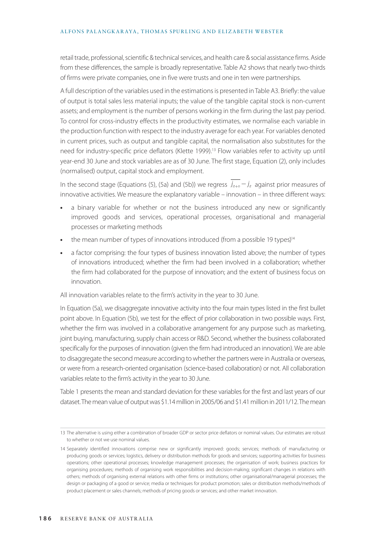#### ALFONS PALANGKARAYA, THOMAS SPURLING AND ELIZABETH WEBSTER

retail trade, professional, scientific & technical services, and health care & social assistance firms. Aside from these differences, the sample is broadly representative. Table A2 shows that nearly two-thirds of firms were private companies, one in five were trusts and one in ten were partnerships.

A full description of the variables used in the estimations is presented in Table A3. Briefly: the value of output is total sales less material inputs; the value of the tangible capital stock is non-current assets; and employment is the number of persons working in the firm during the last pay period. To control for cross-industry effects in the productivity estimates, we normalise each variable in the production function with respect to the industry average for each year. For variables denoted in current prices, such as output and tangible capital, the normalisation also substitutes for the need for industry-specific price deflators (Klette 1999).<sup>13</sup> Flow variables refer to activity up until year-end 30 June and stock variables are as of 30 June. The first stage, Equation (2), only includes (normalised) output, capital stock and employment.

In the second stage (Equations (5), (5a) and (5b)) we regress  $j_{n+n}-j_n$  against prior measures of innovative activities. We measure the explanatory variable – innovation – in three different ways:

- **•** a binary variable for whether or not the business introduced any new or significantly improved goods and services, operational processes, organisational and managerial processes or marketing methods
- the mean number of types of innovations introduced (from a possible 19 types)<sup>14</sup>
- **•** a factor comprising: the four types of business innovation listed above; the number of types of innovations introduced; whether the firm had been involved in a collaboration; whether the firm had collaborated for the purpose of innovation; and the extent of business focus on innovation.

All innovation variables relate to the firm's activity in the year to 30 June.

In Equation (5a), we disaggregate innovative activity into the four main types listed in the first bullet point above. In Equation (5b), we test for the effect of prior collaboration in two possible ways. First, whether the firm was involved in a collaborative arrangement for any purpose such as marketing, joint buying, manufacturing, supply chain access or R&D. Second, whether the business collaborated specifically for the purposes of innovation (given the firm had introduced an innovation). We are able to disaggregate the second measure according to whether the partners were in Australia or overseas, or were from a research-oriented organisation (science-based collaboration) or not. All collaboration variables relate to the firm's activity in the year to 30 June.

Table 1 presents the mean and standard deviation for these variables for the first and last years of our dataset. The mean value of output was \$1.14 million in 2005/06 and \$1.41 million in 2011/12. The mean

<sup>13</sup> The alternative is using either a combination of broader GDP or sector price deflators or nominal values. Our estimates are robust to whether or not we use nominal values.

<sup>14</sup> Separately identified innovations comprise new or significantly improved: goods; services; methods of manufacturing or producing goods or services; logistics, delivery or distribution methods for goods and services; supporting activities for business operations; other operational processes; knowledge management processes; the organisation of work; business practices for organising procedures; methods of organising work responsibilities and decision-making; significant changes in relations with others; methods of organising external relations with other firms or institutions; other organisational/managerial processes; the design or packaging of a good or service; media or techniques for product promotion; sales or distribution methods/methods of product placement or sales channels; methods of pricing goods or services; and other market innovation.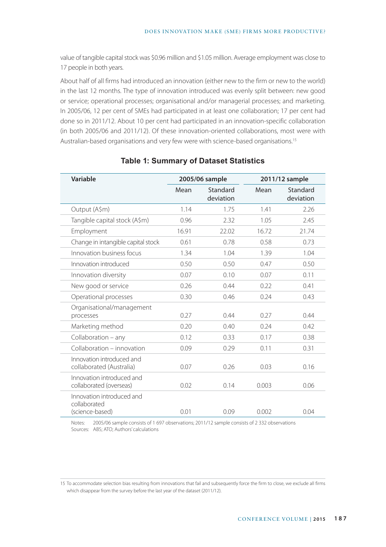value of tangible capital stock was \$0.96 million and \$1.05 million. Average employment was close to 17 people in both years.

About half of all firms had introduced an innovation (either new to the firm or new to the world) in the last 12 months. The type of innovation introduced was evenly split between: new good or service; operational processes; organisational and/or managerial processes; and marketing. In 2005/06, 12 per cent of SMEs had participated in at least one collaboration; 17 per cent had done so in 2011/12. About 10 per cent had participated in an innovation-specific collaboration (in both 2005/06 and 2011/12). Of these innovation-oriented collaborations, most were with Australian-based organisations and very few were with science-based organisations.15

| Variable                                                     |       | 2005/06 sample        |       | 2011/12 sample        |
|--------------------------------------------------------------|-------|-----------------------|-------|-----------------------|
|                                                              | Mean  | Standard<br>deviation | Mean  | Standard<br>deviation |
| Output (A\$m)                                                | 1.14  | 1.75                  | 1.41  | 2.26                  |
| Tangible capital stock (A\$m)                                | 0.96  | 2.32                  | 1.05  | 2.45                  |
| Employment                                                   | 16.91 | 22.02                 | 16.72 | 21.74                 |
| Change in intangible capital stock                           | 0.61  | 0.78                  | 0.58  | 0.73                  |
| Innovation business focus                                    | 1.34  | 1.04                  | 1.39  | 1.04                  |
| Innovation introduced                                        | 0.50  | 0.50                  | 0.47  | 0.50                  |
| Innovation diversity                                         | 0.07  | 0.10                  | 0.07  | 0.11                  |
| New good or service                                          | 0.26  | 0.44                  | 0.22  | 0.41                  |
| Operational processes                                        | 0.30  | 0.46                  | 0.24  | 0.43                  |
| Organisational/management<br>processes                       | 0.27  | 0.44                  | 0.27  | 0.44                  |
| Marketing method                                             | 0.20  | 0.40                  | 0.24  | 0.42                  |
| Collaboration - any                                          | 0.12  | 0.33                  | 0.17  | 0.38                  |
| Collaboration - innovation                                   | 0.09  | 0.29                  | 0.11  | 0.31                  |
| Innovation introduced and<br>collaborated (Australia)        | 0.07  | 0.26                  | 0.03  | 0.16                  |
| Innovation introduced and<br>collaborated (overseas)         | 0.02  | 0.14                  | 0.003 | 0.06                  |
| Innovation introduced and<br>collaborated<br>(science-based) | 0.01  | 0.09                  | 0.002 | 0.04                  |

#### **Table 1: Summary of Dataset Statistics**

Notes: 2005/06 sample consists of 1 697 observations; 2011/12 sample consists of 2 332 observations Sources: ABS; ATO; Authors' calculations

15 To accommodate selection bias resulting from innovations that fail and subsequently force the firm to close, we exclude all firms which disappear from the survey before the last year of the dataset (2011/12).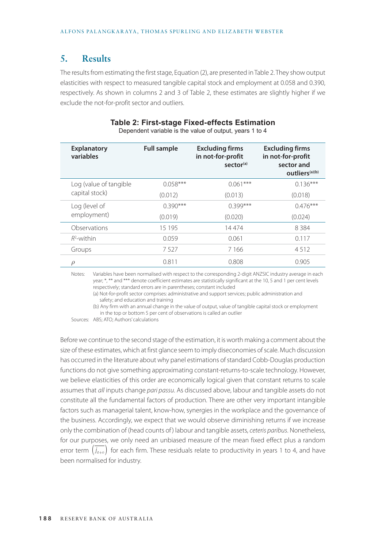## **5. Results**

The results from estimating the first stage, Equation (2), are presented in Table 2. They show output elasticities with respect to measured tangible capital stock and employment at 0.058 and 0.390, respectively. As shown in columns 2 and 3 of Table 2, these estimates are slightly higher if we exclude the not-for-profit sector and outliers.

| <b>Explanatory</b><br>variables | <b>Full sample</b> | <b>Excluding firms</b><br>in not-for-profit<br>sector <sup>(a)</sup> | <b>Excluding firms</b><br>in not-for-profit<br>sector and<br>outliers <sup>(a)(b)</sup> |
|---------------------------------|--------------------|----------------------------------------------------------------------|-----------------------------------------------------------------------------------------|
| Log (value of tangible          | $0.058***$         | $0.061***$                                                           | $0.136***$                                                                              |
| capital stock)                  | (0.012)            | (0.013)                                                              | (0.018)                                                                                 |
| Log (level of                   | $0.390***$         | $0.399***$                                                           | $0.476***$                                                                              |
| employment)                     | (0.019)            | (0.020)                                                              | (0.024)                                                                                 |
| Observations                    | 15 195             | 14474                                                                | 8384                                                                                    |
| $R^2$ -within                   | 0.059              | 0.061                                                                | 0.117                                                                                   |
| Groups                          | 7527               | 7166                                                                 | 4512                                                                                    |
| ρ                               | 0.811              | 0.808                                                                | 0.905                                                                                   |

#### **Table 2: First-stage Fixed-effects Estimation** Dependent variable is the value of output, years 1 to 4

Notes: Variables have been normalised with respect to the corresponding 2-digit ANZSIC industry average in each year; \*, \*\* and \*\*\* denote coefficient estimates are statistically significant at the 10, 5 and 1 per cent levels respectively; standard errors are in parentheses; constant included

 (a) Not-for-profit sector comprises: administrative and support services; public administration and safety; and education and training

 (b) Any firm with an annual change in the value of output, value of tangible capital stock or employment in the top or bottom 5 per cent of observations is called an outlier

Sources: ABS; ATO; Authors' calculations

Before we continue to the second stage of the estimation, it is worth making a comment about the size of these estimates, which at first glance seem to imply diseconomies of scale. Much discussion has occurred in the literature about why panel estimations of standard Cobb-Douglas production functions do not give something approximating constant-returns-to-scale technology. However, we believe elasticities of this order are economically logical given that constant returns to scale assumes that *all* inputs change *pari passu*. As discussed above, labour and tangible assets do not constitute all the fundamental factors of production. There are other very important intangible factors such as managerial talent, know-how, synergies in the workplace and the governance of the business. Accordingly, we expect that we would observe diminishing returns if we increase only the combination of (head counts of ) labour and tangible assets, *ceteris paribus*. Nonetheless, for our purposes, we only need an unbiased measure of the mean fixed effect plus a random error term  $(j_{i+n})$  for each firm. These residuals relate to productivity in years 1 to 4, and have been normalised for industry.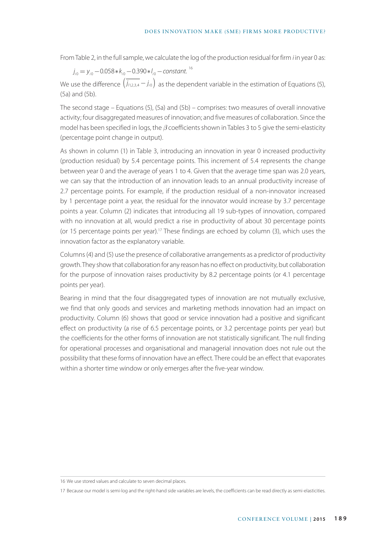From Table 2, in the full sample, we calculate the log of the production residual for firm *i* in year 0 as:

$$
j_{i0} = y_{i0} - 0.058 \times k_{i0} - 0.390 \times l_{i0} -
$$
constant. <sup>16</sup>

We use the difference  $(j_{1,2,3,4} - j_{i0})$  as the dependent variable in the estimation of Equations (5), (5a) and (5b).

The second stage – Equations (5), (5a) and (5b) – comprises: two measures of overall innovative activity; four disaggregated measures of innovation; and five measures of collaboration. Since the model has been specified in logs, the *β* coefficients shown in Tables 3 to 5 give the semi-elasticity (percentage point change in output).

As shown in column (1) in Table 3, introducing an innovation in year 0 increased productivity (production residual) by 5.4 percentage points. This increment of 5.4 represents the change between year 0 and the average of years 1 to 4. Given that the average time span was 2.0 years, we can say that the introduction of an innovation leads to an annual productivity increase of 2.7 percentage points. For example, if the production residual of a non-innovator increased by 1 percentage point a year, the residual for the innovator would increase by 3.7 percentage points a year. Column (2) indicates that introducing all 19 sub-types of innovation, compared with no innovation at all, would predict a rise in productivity of about 30 percentage points (or 15 percentage points per year).<sup>17</sup> These findings are echoed by column (3), which uses the innovation factor as the explanatory variable.

Columns (4) and (5) use the presence of collaborative arrangements as a predictor of productivity growth. They show that collaboration for any reason has no effect on productivity, but collaboration for the purpose of innovation raises productivity by 8.2 percentage points (or 4.1 percentage points per year).

Bearing in mind that the four disaggregated types of innovation are not mutually exclusive, we find that only goods and services and marketing methods innovation had an impact on productivity. Column (6) shows that good or service innovation had a positive and significant effect on productivity (a rise of 6.5 percentage points, or 3.2 percentage points per year) but the coefficients for the other forms of innovation are not statistically significant. The null finding for operational processes and organisational and managerial innovation does not rule out the possibility that these forms of innovation have an effect. There could be an effect that evaporates within a shorter time window or only emerges after the five-year window.

<sup>16</sup> We use stored values and calculate to seven decimal places.

<sup>17</sup> Because our model is semi-log and the right-hand side variables are levels, the coefficients can be read directly as semi-elasticities.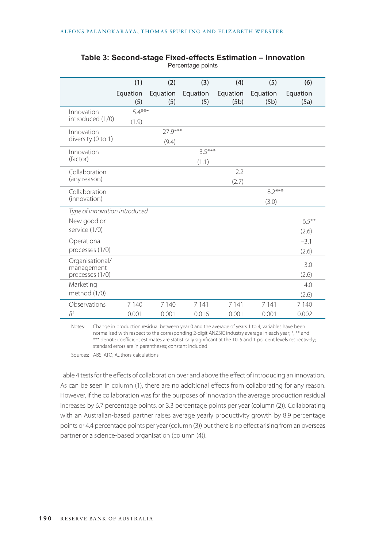|                                                  | (1)               | (2)              | (3)               | (4)              | (5)               | (6)               |
|--------------------------------------------------|-------------------|------------------|-------------------|------------------|-------------------|-------------------|
|                                                  | Equation<br>(5)   | Equation<br>(5)  | Equation<br>(5)   | Equation<br>(5b) | Equation<br>(5b)  | Equation<br>(5a)  |
| Innovation<br>introduced (1/0)                   | $5.4***$<br>(1.9) |                  |                   |                  |                   |                   |
| Innovation<br>diversity (0 to 1)                 |                   | 27.9***<br>(9.4) |                   |                  |                   |                   |
| Innovation<br>(factor)                           |                   |                  | $3.5***$<br>(1.1) |                  |                   |                   |
| Collaboration<br>(any reason)                    |                   |                  |                   | 2.2<br>(2.7)     |                   |                   |
| Collaboration<br>(innovation)                    |                   |                  |                   |                  | $8.2***$<br>(3.0) |                   |
| Type of innovation introduced                    |                   |                  |                   |                  |                   |                   |
| New good or<br>service (1/0)                     |                   |                  |                   |                  |                   | $6.5***$<br>(2.6) |
| Operational<br>processes (1/0)                   |                   |                  |                   |                  |                   | $-3.1$<br>(2.6)   |
| Organisational/<br>management<br>processes (1/0) |                   |                  |                   |                  |                   | 3.0<br>(2.6)      |
| Marketing<br>method (1/0)                        |                   |                  |                   |                  |                   | 4.0<br>(2.6)      |
| Observations                                     | 7 1 4 0           | 7 1 4 0          | 7 1 4 1           | 7 1 4 1          | 7 1 4 1           | 7 1 4 0           |
| $R^2$                                            | 0.001             | 0.001            | 0.016             | 0.001            | 0.001             | 0.002             |

#### **Table 3: Second-stage Fixed-effects Estimation – Innovation** Percentage points

Notes: Change in production residual between year 0 and the average of years 1 to 4; variables have been normalised with respect to the corresponding 2-digit ANZSIC industry average in each year; \*, \*\* and \*\*\* denote coefficient estimates are statistically significant at the 10, 5 and 1 per cent levels respectively; standard errors are in parentheses; constant included

Sources: ABS; ATO; Authors' calculations

Table 4 tests for the effects of collaboration over and above the effect of introducing an innovation. As can be seen in column (1), there are no additional effects from collaborating for any reason. However, if the collaboration was for the purposes of innovation the average production residual increases by 6.7 percentage points, or 3.3 percentage points per year (column (2)). Collaborating with an Australian-based partner raises average yearly productivity growth by 8.9 percentage points or 4.4 percentage points per year (column (3)) but there is no effect arising from an overseas partner or a science-based organisation (column (4)).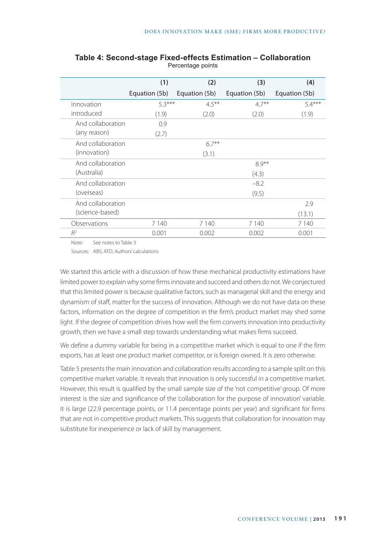|                   | (1)           | (2)           | (3)           | (4)           |
|-------------------|---------------|---------------|---------------|---------------|
|                   | Equation (5b) | Equation (5b) | Equation (5b) | Equation (5b) |
| Innovation        | $5.3***$      | $4.5***$      | $4.7***$      | $5.4***$      |
| introduced        | (1.9)         | (2.0)         | (2.0)         | (1.9)         |
| And collaboration | 0.9           |               |               |               |
| (any reason)      | (2.7)         |               |               |               |
| And collaboration |               | $6.7***$      |               |               |
| (innovation)      |               | (3.1)         |               |               |
| And collaboration |               |               | $8.9***$      |               |
| (Australia)       |               |               | (4.3)         |               |
| And collaboration |               |               | $-8.2$        |               |
| (overseas)        |               |               | (9.5)         |               |
| And collaboration |               |               |               | 2.9           |
| (science-based)   |               |               |               | (13.1)        |
| Observations      | 7 1 4 0       | 7 1 4 0       | 7 1 4 0       | 7 1 4 0       |
| $R^2$             | 0.001         | 0.002         | 0.002         | 0.001         |

#### **Table 4: Second-stage Fixed-effects Estimation – Collaboration** Percentage points

Note: See notes to Table 3

Sources: ABS; ATO; Authors' calculations

We started this article with a discussion of how these mechanical productivity estimations have limited power to explain why some firms innovate and succeed and others do not. We conjectured that this limited power is because qualitative factors, such as managerial skill and the energy and dynamism of staff, matter for the success of innovation. Although we do not have data on these factors, information on the degree of competition in the firm's product market may shed some light. If the degree of competition drives how well the firm converts innovation into productivity growth, then we have a small step towards understanding what makes firms succeed.

We define a dummy variable for being in a competitive market which is equal to one if the firm exports, has at least one product market competitor, or is foreign owned. It is zero otherwise.

Table 5 presents the main innovation and collaboration results according to a sample split on this competitive market variable. It reveals that innovation is only successful in a competitive market. However, this result is qualified by the small sample size of the 'not competitive' group. Of more interest is the size and significance of the 'collaboration for the purpose of innovation' variable. It is large (22.9 percentage points, or 11.4 percentage points per year) and significant for firms that are not in competitive product markets. This suggests that collaboration for innovation may substitute for inexperience or lack of skill by management.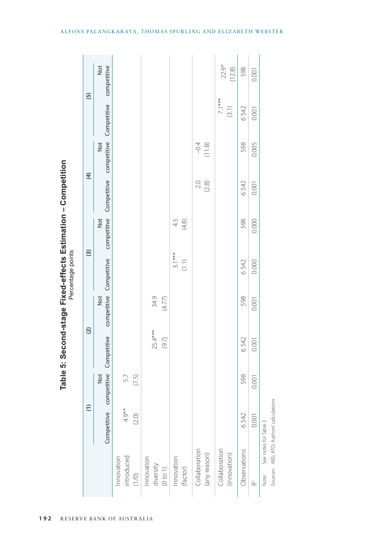|                          |                                          | $\widehat{E}$                  |             | $\widehat{c}$ |                         | $\widehat{\mathbf{c}}$ |             | $\widehat{f}$   |                         | $\overline{5}$     |
|--------------------------|------------------------------------------|--------------------------------|-------------|---------------|-------------------------|------------------------|-------------|-----------------|-------------------------|--------------------|
|                          |                                          | Competitive competitive<br>Not | Competitive | Not           | competitive Competitive | competitive<br>Not     | Competitive | Not             | competitive Competitive | Not<br>competitive |
| introduced<br>Innovation | 4.9**                                    | 5.7                            |             |               |                         |                        |             |                 |                         |                    |
| $(1/0)$                  | (2.0)                                    | (7.5)                          |             |               |                         |                        |             |                 |                         |                    |
| Innovation               |                                          |                                |             |               |                         |                        |             |                 |                         |                    |
| diversity                |                                          |                                | $25.4***$   | 34.9          |                         |                        |             |                 |                         |                    |
| (0 to 1)                 |                                          |                                | (9.7)       | (4.77)        |                         |                        |             |                 |                         |                    |
| Innovation               |                                          |                                |             |               | $3.1***$                | 4.5                    |             |                 |                         |                    |
| (factor)                 |                                          |                                |             |               | (1.1)                   | $(4.8)$                |             |                 |                         |                    |
| Collaboration            |                                          |                                |             |               |                         |                        | 2.0         |                 |                         |                    |
| (any reason)             |                                          |                                |             |               |                         |                        | $(2.8)$     | $-0.4$<br>(1.8) |                         |                    |
| Collaboration            |                                          |                                |             |               |                         |                        |             |                 | $7.1***$                | $22.9*$            |
| (innovation)             |                                          |                                |             |               |                         |                        |             |                 | (3.1)                   | (12.8)             |
| Observations             | 6542                                     | 598                            | 6542        | 598           | 6542                    | 598                    | 6542        | 598             | 6542                    | 598                |
| $\approx$                | 0.001                                    | 0.001                          | 0.001       | 0.001         | 0.000                   | 0.000                  | 0.001       | 0.005           | 0.001                   | 0.001              |
| Note:                    | See notes for Table 3                    |                                |             |               |                         |                        |             |                 |                         |                    |
|                          | Sources: ABS; ATO; Authors' calculations |                                |             |               |                         |                        |             |                 |                         |                    |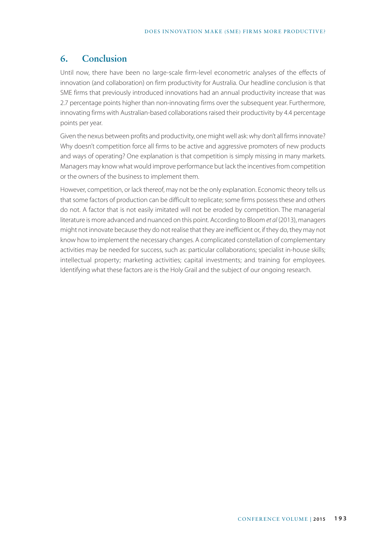## **6. Conclusion**

Until now, there have been no large-scale firm-level econometric analyses of the effects of innovation (and collaboration) on firm productivity for Australia. Our headline conclusion is that SME firms that previously introduced innovations had an annual productivity increase that was 2.7 percentage points higher than non-innovating firms over the subsequent year. Furthermore, innovating firms with Australian-based collaborations raised their productivity by 4.4 percentage points per year.

Given the nexus between profits and productivity, one might well ask: why don't all firms innovate? Why doesn't competition force all firms to be active and aggressive promoters of new products and ways of operating? One explanation is that competition is simply missing in many markets. Managers may know what would improve performance but lack the incentives from competition or the owners of the business to implement them.

However, competition, or lack thereof, may not be the only explanation. Economic theory tells us that some factors of production can be difficult to replicate; some firms possess these and others do not. A factor that is not easily imitated will not be eroded by competition. The managerial literature is more advanced and nuanced on this point. According to Bloom *et al* (2013), managers might not innovate because they do not realise that they are inefficient or, if they do, they may not know how to implement the necessary changes. A complicated constellation of complementary activities may be needed for success, such as: particular collaborations; specialist in-house skills; intellectual property; marketing activities; capital investments; and training for employees. Identifying what these factors are is the Holy Grail and the subject of our ongoing research.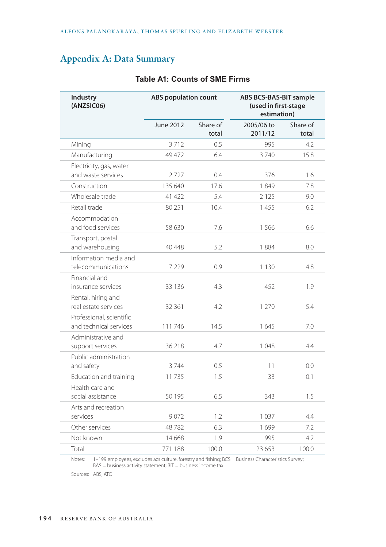## **Appendix A: Data Summary**

| Industry<br>(ANZSIC06)                             | <b>ABS</b> population count |                   | <b>ABS BCS-BAS-BIT sample</b><br>(used in first-stage<br>estimation) |                   |
|----------------------------------------------------|-----------------------------|-------------------|----------------------------------------------------------------------|-------------------|
|                                                    | June 2012                   | Share of<br>total | 2005/06 to<br>2011/12                                                | Share of<br>total |
| Mining                                             | 3712                        | 0.5               | 995                                                                  | 4.2               |
| Manufacturing                                      | 49 472                      | 6.4               | 3740                                                                 | 15.8              |
| Electricity, gas, water<br>and waste services      | 2727                        | 0.4               | 376                                                                  | 1.6               |
| Construction                                       | 135 640                     | 17.6              | 1849                                                                 | 7.8               |
| Wholesale trade                                    | 41 422                      | 5.4               | 2 1 2 5                                                              | 9.0               |
| Retail trade                                       | 80 251                      | 10.4              | 1455                                                                 | 6.2               |
| Accommodation<br>and food services                 | 58 630                      | 7.6               | 1566                                                                 | 6.6               |
| Transport, postal<br>and warehousing               | 40 448                      | 5.2               | 1884                                                                 | 8.0               |
| Information media and<br>telecommunications        | 7 2 2 9                     | 0.9               | 1 1 3 0                                                              | 4.8               |
| Financial and<br>insurance services                | 33 136                      | 4.3               | 452                                                                  | 1.9               |
| Rental, hiring and<br>real estate services         | 32 361                      | 4.2               | 1 2 7 0                                                              | 5.4               |
| Professional, scientific<br>and technical services | 111746                      | 14.5              | 1645                                                                 | 7.0               |
| Administrative and<br>support services             | 36 218                      | 4.7               | 1048                                                                 | 4.4               |
| Public administration<br>and safety                | 3744                        | 0.5               | 11                                                                   | 0.0               |
| Education and training                             | 11735                       | 1.5               | 33                                                                   | 0.1               |
| Health care and<br>social assistance               | 50 195                      | 6.5               | 343                                                                  | 1.5               |
| Arts and recreation<br>services                    | 9072                        | 1.2               | 1037                                                                 | 4.4               |
| Other services                                     | 48782                       | 6.3               | 1699                                                                 | 7.2               |
| Not known                                          | 14 668                      | 1.9               | 995                                                                  | 4.2               |
| Total                                              | 771 188                     | 100.0             | 23 653                                                               | 100.0             |

### **Table A1: Counts of SME Firms**

Notes: 1–199 employees, excludes agriculture, forestry and fishing; BCS = Business Characteristics Survey; BAS = business activity statement; BIT = business income tax

Sources: ABS; ATO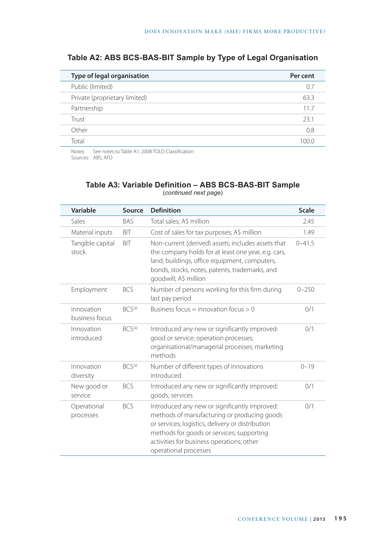| Type of legal organisation    | Per cent |
|-------------------------------|----------|
| Public (limited)              | 0.7      |
| Private (proprietary limited) | 63.3     |
| Partnership                   | 11.7     |
| Trust                         | 23.1     |
| Other                         | 0.8      |
| Total                         | 100 O    |

## **Table A2: ABS BCS-BAS-BIT Sample by Type of Legal Organisation**

Notes: See notes to Table A1; 2008 TOLO Classification Sources: ABS; ATO

## **Table A3: Variable Definition – ABS BCS-BAS-BIT Sample**

| Variable                     | Source             | <b>Definition</b>                                                                                                                                                                                                                                                   | <b>Scale</b> |
|------------------------------|--------------------|---------------------------------------------------------------------------------------------------------------------------------------------------------------------------------------------------------------------------------------------------------------------|--------------|
| Sales                        | <b>BAS</b>         | Total sales; A\$ million                                                                                                                                                                                                                                            | 2.45         |
| Material inputs              | <b>BIT</b>         | Cost of sales for tax purposes; A\$ million                                                                                                                                                                                                                         | 1.49         |
| Tangible capital<br>stock    | BIT                | Non-current (derived) assets; includes assets that<br>the company holds for at least one year, e.g. cars,<br>land, buildings, office equipment, computers,<br>bonds, stocks, notes, patents, trademarks, and<br>goodwill; A\$ million                               | $0 - 41.5$   |
| Employment                   | <b>BCS</b>         | Number of persons working for this firm during<br>last pay period                                                                                                                                                                                                   | $0 - 250$    |
| Innovation<br>business focus | BCS <sup>(a)</sup> | Business focus = innovation focus $> 0$                                                                                                                                                                                                                             | 0/1          |
| Innovation<br>introduced     | BCS <sup>(a)</sup> | Introduced any new or significantly improved:<br>good or service; operation processes;<br>organisational/managerial processes; marketing<br>methods                                                                                                                 | 0/1          |
| Innovation<br>diversity      | BCS <sup>(a)</sup> | Number of different types of innovations<br>introduced                                                                                                                                                                                                              | $0 - 19$     |
| New good or<br>service       | <b>BCS</b>         | Introduced any new or significantly improved:<br>goods; services                                                                                                                                                                                                    | 0/1          |
| Operational<br>processes     | <b>BCS</b>         | Introduced any new or significantly improved:<br>methods of manufacturing or producing goods<br>or services; logistics, delivery or distribution<br>methods for goods or services; supporting<br>activities for business operations; other<br>operational processes | 0/1          |

(*continued next page*)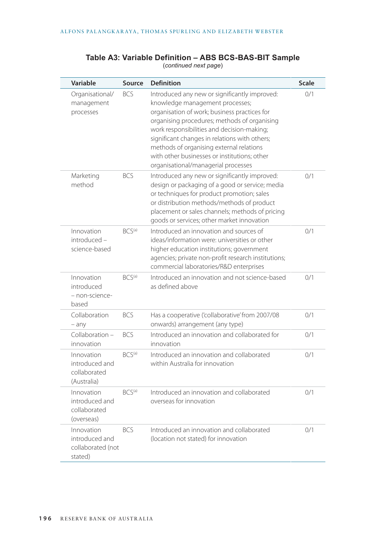| Variable                                                     | Source             | <b>Definition</b>                                                                                                                                                                                                                                                                                                                                                                                                  | <b>Scale</b> |
|--------------------------------------------------------------|--------------------|--------------------------------------------------------------------------------------------------------------------------------------------------------------------------------------------------------------------------------------------------------------------------------------------------------------------------------------------------------------------------------------------------------------------|--------------|
| Organisational/<br>management<br>processes                   | <b>BCS</b>         | Introduced any new or significantly improved:<br>knowledge management processes;<br>organisation of work; business practices for<br>organising procedures; methods of organising<br>work responsibilities and decision-making;<br>significant changes in relations with others;<br>methods of organising external relations<br>with other businesses or institutions: other<br>organisational/managerial processes | 0/1          |
| Marketing<br>method                                          | <b>BCS</b>         | Introduced any new or significantly improved:<br>design or packaging of a good or service; media<br>or techniques for product promotion; sales<br>or distribution methods/methods of product<br>placement or sales channels; methods of pricing<br>goods or services; other market innovation                                                                                                                      | 0/1          |
| Innovation<br>introduced -<br>science-based                  | BCS <sup>(a)</sup> | Introduced an innovation and sources of<br>ideas/information were: universities or other<br>higher education institutions; government<br>agencies; private non-profit research institutions;<br>commercial laboratories/R&D enterprises                                                                                                                                                                            | 0/1          |
| Innovation<br>introduced<br>– non-science-<br>based          | BCS <sup>(a)</sup> | Introduced an innovation and not science-based<br>as defined above                                                                                                                                                                                                                                                                                                                                                 | 0/1          |
| Collaboration<br>$-$ any                                     | <b>BCS</b>         | Has a cooperative ('collaborative' from 2007/08<br>onwards) arrangement (any type)                                                                                                                                                                                                                                                                                                                                 | 0/1          |
| Collaboration -<br>innovation                                | <b>BCS</b>         | Introduced an innovation and collaborated for<br>innovation                                                                                                                                                                                                                                                                                                                                                        | 0/1          |
| Innovation<br>introduced and<br>collaborated<br>(Australia)  | BCS <sup>(a)</sup> | Introduced an innovation and collaborated<br>within Australia for innovation                                                                                                                                                                                                                                                                                                                                       | 0/1          |
| Innovation<br>introduced and<br>collaborated<br>(overseas)   | BCS <sup>(a)</sup> | Introduced an innovation and collaborated<br>overseas for innovation                                                                                                                                                                                                                                                                                                                                               | 0/1          |
| Innovation<br>introduced and<br>collaborated (not<br>stated) | <b>BCS</b>         | Introduced an innovation and collaborated<br>(location not stated) for innovation                                                                                                                                                                                                                                                                                                                                  | 0/1          |

#### **Table A3: Variable Definition – ABS BCS-BAS-BIT Sample** (*continued next page*)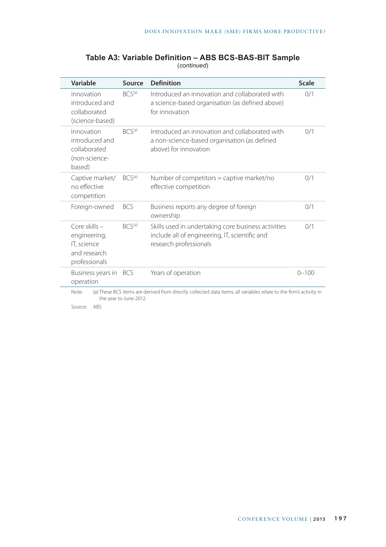| Variable                                                                        | Source                | <b>Definition</b>                                                                                                               | <b>Scale</b> |
|---------------------------------------------------------------------------------|-----------------------|---------------------------------------------------------------------------------------------------------------------------------|--------------|
| Innovation<br>introduced and<br>collaborated<br>(science-based)                 | BCS <sup>(a)</sup>    | Introduced an innovation and collaborated with<br>a science-based organisation (as defined above)<br>for innovation             | 0/1          |
| Innovation<br>introduced and<br>collaborated<br>(non-science-<br>based)         | BCS <sup>(a)</sup>    | Introduced an innovation and collaborated with<br>a non-science-based organisation (as defined<br>above) for innovation         | 0/1          |
| Captive market/<br>no effective<br>competition                                  | BCS <sup>(a)</sup>    | Number of competitors = captive market/no<br>effective competition                                                              | 0/1          |
| Foreign-owned                                                                   | <b>BCS</b>            | Business reports any degree of foreign<br>ownership                                                                             | 0/1          |
| Core skills $-$<br>engineering,<br>IT, science<br>and research<br>professionals | BCS <sup>(a)</sup>    | Skills used in undertaking core business activities<br>include all of engineering, IT, scientific and<br>research professionals | 0/1          |
| Business years in BCS<br>operation                                              |                       | Years of operation                                                                                                              | $0 - 100$    |
| Note:                                                                           | the year to June 2012 | (a) These BCS items are derived from directly collected data items; all variables relate to the firm's activity in              |              |

#### **Table A3: Variable Definition – ABS BCS-BAS-BIT Sample** (*continued*)

Source: ABS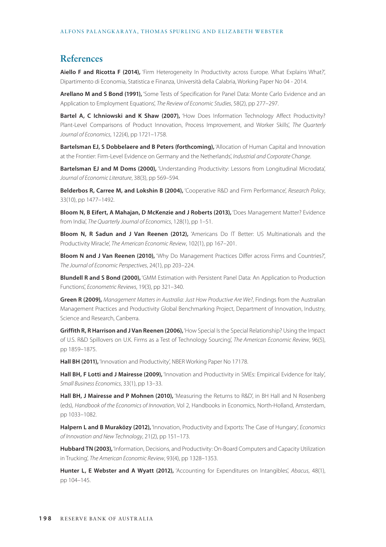#### **References**

**Aiello F and Ricotta F (2014),** 'Firm Heterogeneity In Productivity across Europe. What Explains What?', Dipartimento di Economia, Statistica e Finanza, Università della Calabria, Working Paper No 04 - 2014.

**Arellano M and S Bond (1991),** 'Some Tests of Specification for Panel Data: Monte Carlo Evidence and an Application to Employment Equations', *The Review of Economic Studies*, 58(2), pp 277–297.

**Bartel A, C Ichniowski and K Shaw (2007),** 'How Does Information Technology Affect Productivity? Plant-Level Comparisons of Product Innovation, Process Improvement, and Worker Skills', *The Quarterly Journal of Economics*, 122(4), pp 1721–1758.

**Bartelsman EJ, S Dobbelaere and B Peters (forthcoming),** 'Allocation of Human Capital and Innovation at the Frontier: Firm-Level Evidence on Germany and the Netherlands', *Industrial and Corporate Change*.

**Bartelsman EJ and M Doms (2000),** 'Understanding Productivity: Lessons from Longitudinal Microdata', *Journal of Economic Literature*, 38(3), pp 569–594.

**Belderbos R, Carree M, and Lokshin B (2004),** 'Cooperative R&D and Firm Performance', *Research Policy*, 33(10), pp 1477–1492.

**Bloom N, B Eifert, A Mahajan, D McKenzie and J Roberts (2013),** 'Does Management Matter? Evidence from India', *The Quarterly Journal of Economics*, 128(1), pp 1–51.

**Bloom N, R Sadun and J Van Reenen (2012),** 'Americans Do IT Better: US Multinationals and the Productivity Miracle', *The American Economic Review*, 102(1), pp 167–201.

**Bloom N and J Van Reenen (2010),** 'Why Do Management Practices Differ across Firms and Countries?', *The Journal of Economic Perspectives*, 24(1), pp 203–224.

**Blundell R and S Bond (2000),** 'GMM Estimation with Persistent Panel Data: An Application to Production Functions', *Econometric Reviews*, 19(3), pp 321–340.

**Green R (2009),** *Management Matters in Australia: Just How Productive Are We?*, Findings from the Australian Management Practices and Productivity Global Benchmarking Project, Department of Innovation, Industry, Science and Research, Canberra.

**Griffith R, R Harrison and J Van Reenen (2006),** 'How Special Is the Special Relationship? Using the Impact of U.S. R&D Spillovers on U.K. Firms as a Test of Technology Sourcing', *The American Economic Review*, 96(5), pp 1859–1875.

Hall BH (2011), 'Innovation and Productivity', NBER Working Paper No 17178.

**Hall BH, F Lotti and J Mairesse (2009),** 'Innovation and Productivity in SMEs: Empirical Evidence for Italy', *Small Business Economics*, 33(1), pp 13–33.

Hall BH, J Mairesse and P Mohnen (2010), 'Measuring the Returns to R&D', in BH Hall and N Rosenberg (eds), *Handbook of the Economics of Innovation*, Vol 2, Handbooks in Economics, North-Holland, Amsterdam, pp 1033–1082.

**Halpern L and B Muraközy (2012),** 'Innovation, Productivity and Exports: The Case of Hungary', *Economics of Innovation and New Technology*, 21(2), pp 151–173.

**Hubbard TN (2003),** 'Information, Decisions, and Productivity: On-Board Computers and Capacity Utilization in Trucking', *The American Economic Review*, 93(4), pp 1328–1353.

**Hunter L, E Webster and A Wyatt (2012),** 'Accounting for Expenditures on Intangibles', *Abacus*, 48(1), pp 104–145.